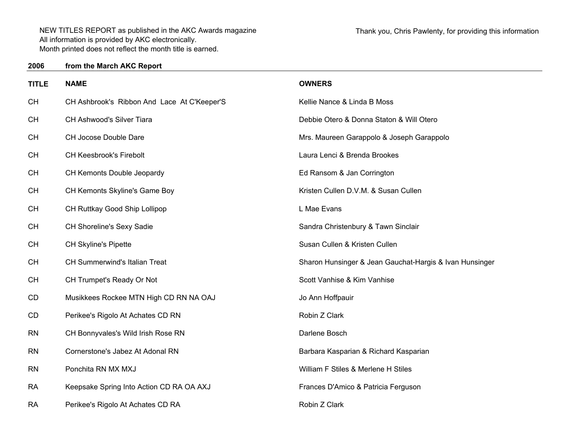| <b>TITLE</b> | <b>NAME</b>                                 | <b>OWNERS</b>                                           |
|--------------|---------------------------------------------|---------------------------------------------------------|
| <b>CH</b>    | CH Ashbrook's Ribbon And Lace At C'Keeper'S | Kellie Nance & Linda B Moss                             |
| <b>CH</b>    | CH Ashwood's Silver Tiara                   | Debbie Otero & Donna Staton & Will Otero                |
| <b>CH</b>    | CH Jocose Double Dare                       | Mrs. Maureen Garappolo & Joseph Garappolo               |
| <b>CH</b>    | <b>CH Keesbrook's Firebolt</b>              | Laura Lenci & Brenda Brookes                            |
| <b>CH</b>    | CH Kemonts Double Jeopardy                  | Ed Ransom & Jan Corrington                              |
| <b>CH</b>    | CH Kemonts Skyline's Game Boy               | Kristen Cullen D.V.M. & Susan Cullen                    |
| <b>CH</b>    | CH Ruttkay Good Ship Lollipop               | L Mae Evans                                             |
| <b>CH</b>    | CH Shoreline's Sexy Sadie                   | Sandra Christenbury & Tawn Sinclair                     |
| <b>CH</b>    | <b>CH Skyline's Pipette</b>                 | Susan Cullen & Kristen Cullen                           |
| <b>CH</b>    | <b>CH Summerwind's Italian Treat</b>        | Sharon Hunsinger & Jean Gauchat-Hargis & Ivan Hunsinger |
| <b>CH</b>    | CH Trumpet's Ready Or Not                   | Scott Vanhise & Kim Vanhise                             |
| CD           | Musikkees Rockee MTN High CD RN NA OAJ      | Jo Ann Hoffpauir                                        |
| CD           | Perikee's Rigolo At Achates CD RN           | Robin Z Clark                                           |
| <b>RN</b>    | CH Bonnyvales's Wild Irish Rose RN          | Darlene Bosch                                           |
| <b>RN</b>    | Cornerstone's Jabez At Adonal RN            | Barbara Kasparian & Richard Kasparian                   |
| <b>RN</b>    | Ponchita RN MX MXJ                          | William F Stiles & Merlene H Stiles                     |
| <b>RA</b>    | Keepsake Spring Into Action CD RA OA AXJ    | Frances D'Amico & Patricia Ferguson                     |
| <b>RA</b>    | Perikee's Rigolo At Achates CD RA           | Robin Z Clark                                           |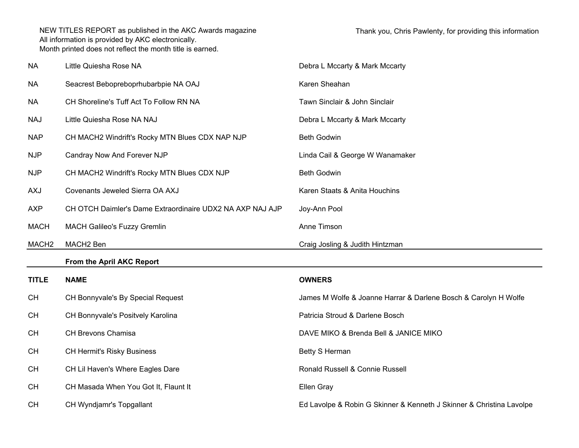| <b>NA</b>         | Little Quiesha Rose NA                                    | Debra L Mccarty & Mark Mccarty                                  |
|-------------------|-----------------------------------------------------------|-----------------------------------------------------------------|
| <b>NA</b>         | Seacrest Bebopreboprhubarbpie NA OAJ                      | Karen Sheahan                                                   |
| <b>NA</b>         | CH Shoreline's Tuff Act To Follow RN NA                   | Tawn Sinclair & John Sinclair                                   |
| <b>NAJ</b>        | Little Quiesha Rose NA NAJ                                | Debra L Mccarty & Mark Mccarty                                  |
| <b>NAP</b>        | CH MACH2 Windrift's Rocky MTN Blues CDX NAP NJP           | <b>Beth Godwin</b>                                              |
| <b>NJP</b>        | Candray Now And Forever NJP                               | Linda Cail & George W Wanamaker                                 |
| <b>NJP</b>        | CH MACH2 Windrift's Rocky MTN Blues CDX NJP               | <b>Beth Godwin</b>                                              |
| <b>AXJ</b>        | Covenants Jeweled Sierra OA AXJ                           | Karen Staats & Anita Houchins                                   |
| <b>AXP</b>        | CH OTCH Daimler's Dame Extraordinaire UDX2 NA AXP NAJ AJP | Joy-Ann Pool                                                    |
| <b>MACH</b>       | <b>MACH Galileo's Fuzzy Gremlin</b>                       | Anne Timson                                                     |
|                   |                                                           |                                                                 |
| MACH <sub>2</sub> | MACH2 Ben                                                 | Craig Josling & Judith Hintzman                                 |
|                   | From the April AKC Report                                 |                                                                 |
| <b>TITLE</b>      | <b>NAME</b>                                               | <b>OWNERS</b>                                                   |
| <b>CH</b>         | CH Bonnyvale's By Special Request                         | James M Wolfe & Joanne Harrar & Darlene Bosch & Carolyn H Wolfe |
| <b>CH</b>         | CH Bonnyvale's Positvely Karolina                         | Patricia Stroud & Darlene Bosch                                 |
| <b>CH</b>         | CH Brevons Chamisa                                        | DAVE MIKO & Brenda Bell & JANICE MIKO                           |
| <b>CH</b>         | <b>CH Hermit's Risky Business</b>                         | Betty S Herman                                                  |
| <b>CH</b>         | CH Lil Haven's Where Eagles Dare                          | Ronald Russell & Connie Russell                                 |
| <b>CH</b>         | CH Masada When You Got It, Flaunt It                      | Ellen Gray                                                      |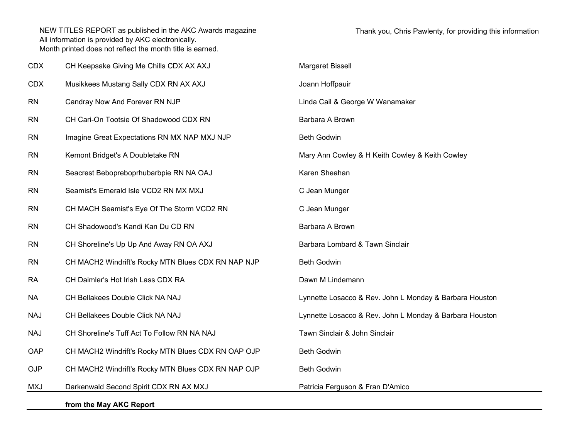| <b>CDX</b> | CH Keepsake Giving Me Chills CDX AX AXJ            | Margaret Bissell                                        |
|------------|----------------------------------------------------|---------------------------------------------------------|
| <b>CDX</b> | Musikkees Mustang Sally CDX RN AX AXJ              | Joann Hoffpauir                                         |
| <b>RN</b>  | Candray Now And Forever RN NJP                     | Linda Cail & George W Wanamaker                         |
| <b>RN</b>  | CH Cari-On Tootsie Of Shadowood CDX RN             | Barbara A Brown                                         |
| <b>RN</b>  | Imagine Great Expectations RN MX NAP MXJ NJP       | <b>Beth Godwin</b>                                      |
| <b>RN</b>  | Kemont Bridget's A Doubletake RN                   | Mary Ann Cowley & H Keith Cowley & Keith Cowley         |
| <b>RN</b>  | Seacrest Bebopreboprhubarbpie RN NA OAJ            | Karen Sheahan                                           |
| <b>RN</b>  | Seamist's Emerald Isle VCD2 RN MX MXJ              | C Jean Munger                                           |
| <b>RN</b>  | CH MACH Seamist's Eye Of The Storm VCD2 RN         | C Jean Munger                                           |
| <b>RN</b>  | CH Shadowood's Kandi Kan Du CD RN                  | Barbara A Brown                                         |
| <b>RN</b>  | CH Shoreline's Up Up And Away RN OA AXJ            | Barbara Lombard & Tawn Sinclair                         |
| <b>RN</b>  | CH MACH2 Windrift's Rocky MTN Blues CDX RN NAP NJP | <b>Beth Godwin</b>                                      |
| <b>RA</b>  | CH Daimler's Hot Irish Lass CDX RA                 | Dawn M Lindemann                                        |
| <b>NA</b>  | CH Bellakees Double Click NA NAJ                   | Lynnette Losacco & Rev. John L Monday & Barbara Houston |
| <b>NAJ</b> | CH Bellakees Double Click NA NAJ                   | Lynnette Losacco & Rev. John L Monday & Barbara Houston |
| <b>NAJ</b> | CH Shoreline's Tuff Act To Follow RN NA NAJ        | Tawn Sinclair & John Sinclair                           |
| OAP        | CH MACH2 Windrift's Rocky MTN Blues CDX RN OAP OJP | <b>Beth Godwin</b>                                      |
| <b>OJP</b> | CH MACH2 Windrift's Rocky MTN Blues CDX RN NAP OJP | <b>Beth Godwin</b>                                      |
| <b>MXJ</b> | Darkenwald Second Spirit CDX RN AX MXJ             | Patricia Ferguson & Fran D'Amico                        |
|            | from the May AKC Report                            |                                                         |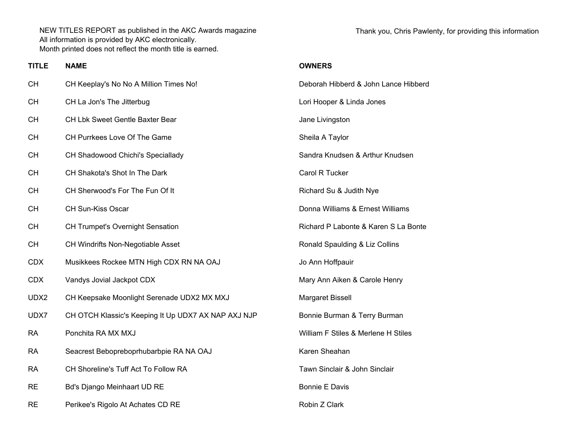Thank you, Chris Pawlenty, for providing this information

## **TITLE NAME OWNERS**

| CН   | CH Keeplay's No No A Million Times No!              | Deborah Hibberd & John Lance Hibberd |
|------|-----------------------------------------------------|--------------------------------------|
| CН   | CH La Jon's The Jitterbug                           | Lori Hooper & Linda Jones            |
| CН   | CH Lbk Sweet Gentle Baxter Bear                     | Jane Livingston                      |
| CН   | CH Purrkees Love Of The Game                        | Sheila A Taylor                      |
| CН   | CH Shadowood Chichi's Speciallady                   | Sandra Knudsen & Arthur Knudsen      |
| CН   | CH Shakota's Shot In The Dark                       | Carol R Tucker                       |
| CН   | CH Sherwood's For The Fun Of It                     | Richard Su & Judith Nye              |
| CН   | CH Sun-Kiss Oscar                                   | Donna Williams & Ernest Williams     |
| СН   | <b>CH Trumpet's Overnight Sensation</b>             | Richard P Labonte & Karen S La Bonte |
| CН   | CH Windrifts Non-Negotiable Asset                   | Ronald Spaulding & Liz Collins       |
| CDX  | Musikkees Rockee MTN High CDX RN NA OAJ             | Jo Ann Hoffpauir                     |
| CDX  | Vandys Jovial Jackpot CDX                           | Mary Ann Aiken & Carole Henry        |
| UDX2 | CH Keepsake Moonlight Serenade UDX2 MX MXJ          | Margaret Bissell                     |
| UDX7 | CH OTCH Klassic's Keeping It Up UDX7 AX NAP AXJ NJP | Bonnie Burman & Terry Burman         |
| RA   | Ponchita RA MX MXJ                                  | William F Stiles & Merlene H Stiles  |
| RA   | Seacrest Bebopreboprhubarbpie RA NA OAJ             | Karen Sheahan                        |
| RA   | CH Shoreline's Tuff Act To Follow RA                | Tawn Sinclair & John Sinclair        |
| RE   | Bd's Django Meinhaart UD RE                         | <b>Bonnie E Davis</b>                |
| RE   | Perikee's Rigolo At Achates CD RE                   | Robin Z Clark                        |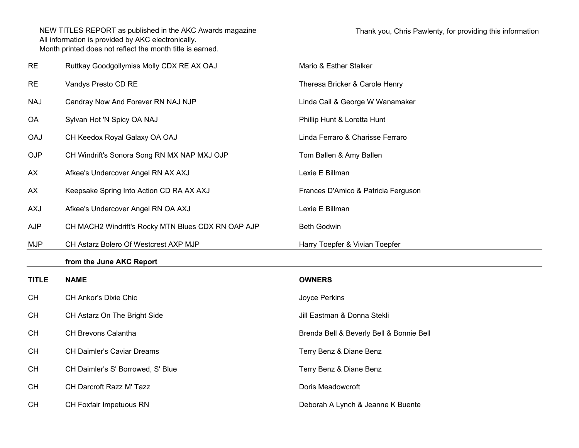| <b>RE</b>    | Ruttkay Goodgollymiss Molly CDX RE AX OAJ          | Mario & Esther Stalker                   |
|--------------|----------------------------------------------------|------------------------------------------|
| <b>RE</b>    | Vandys Presto CD RE                                | Theresa Bricker & Carole Henry           |
| <b>NAJ</b>   | Candray Now And Forever RN NAJ NJP                 | Linda Cail & George W Wanamaker          |
| OA           | Sylvan Hot 'N Spicy OA NAJ                         | Phillip Hunt & Loretta Hunt              |
| <b>OAJ</b>   | CH Keedox Royal Galaxy OA OAJ                      | Linda Ferraro & Charisse Ferraro         |
| OJP          | CH Windrift's Sonora Song RN MX NAP MXJ OJP        | Tom Ballen & Amy Ballen                  |
| AX           | Afkee's Undercover Angel RN AX AXJ                 | Lexie E Billman                          |
| AX           | Keepsake Spring Into Action CD RA AX AXJ           | Frances D'Amico & Patricia Ferguson      |
| <b>AXJ</b>   | Afkee's Undercover Angel RN OA AXJ                 | Lexie E Billman                          |
| AJP          | CH MACH2 Windrift's Rocky MTN Blues CDX RN OAP AJP | <b>Beth Godwin</b>                       |
|              |                                                    |                                          |
| <b>MJP</b>   | CH Astarz Bolero Of Westcrest AXP MJP              | Harry Toepfer & Vivian Toepfer           |
|              | from the June AKC Report                           |                                          |
| <b>TITLE</b> | <b>NAME</b>                                        | <b>OWNERS</b>                            |
| <b>CH</b>    | CH Ankor's Dixie Chic                              | Joyce Perkins                            |
| <b>CH</b>    | CH Astarz On The Bright Side                       | Jill Eastman & Donna Stekli              |
| <b>CH</b>    | CH Brevons Calantha                                | Brenda Bell & Beverly Bell & Bonnie Bell |
| <b>CH</b>    | <b>CH Daimler's Caviar Dreams</b>                  | Terry Benz & Diane Benz                  |
| <b>CH</b>    | CH Daimler's S' Borrowed, S' Blue                  | Terry Benz & Diane Benz                  |
| <b>CH</b>    | CH Darcroft Razz M' Tazz                           | Doris Meadowcroft                        |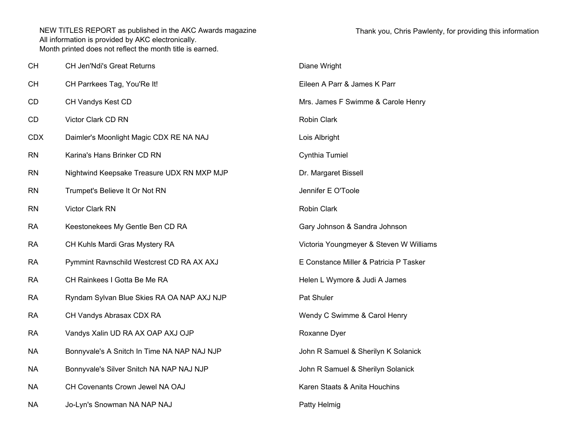| <b>CH</b>  | <b>CH Jen'Ndi's Great Returns</b>           | Diane Wright                            |
|------------|---------------------------------------------|-----------------------------------------|
| <b>CH</b>  | CH Parrkees Tag, You'Re It!                 | Eileen A Parr & James K Parr            |
| CD         | CH Vandys Kest CD                           | Mrs. James F Swimme & Carole Henry      |
| CD         | Victor Clark CD RN                          | Robin Clark                             |
| <b>CDX</b> | Daimler's Moonlight Magic CDX RE NA NAJ     | Lois Albright                           |
| <b>RN</b>  | Karina's Hans Brinker CD RN                 | Cynthia Tumiel                          |
| <b>RN</b>  | Nightwind Keepsake Treasure UDX RN MXP MJP  | Dr. Margaret Bissell                    |
| <b>RN</b>  | Trumpet's Believe It Or Not RN              | Jennifer E O'Toole                      |
| <b>RN</b>  | Victor Clark RN                             | Robin Clark                             |
| <b>RA</b>  | Keestonekees My Gentle Ben CD RA            | Gary Johnson & Sandra Johnson           |
| <b>RA</b>  | CH Kuhls Mardi Gras Mystery RA              | Victoria Youngmeyer & Steven W Williams |
| <b>RA</b>  | Pymmint Ravnschild Westcrest CD RA AX AXJ   | E Constance Miller & Patricia P Tasker  |
| <b>RA</b>  | CH Rainkees I Gotta Be Me RA                | Helen L Wymore & Judi A James           |
| <b>RA</b>  | Ryndam Sylvan Blue Skies RA OA NAP AXJ NJP  | Pat Shuler                              |
| <b>RA</b>  | CH Vandys Abrasax CDX RA                    | Wendy C Swimme & Carol Henry            |
| <b>RA</b>  | Vandys Xalin UD RA AX OAP AXJ OJP           | Roxanne Dyer                            |
| <b>NA</b>  | Bonnyvale's A Snitch In Time NA NAP NAJ NJP | John R Samuel & Sherilyn K Solanick     |
| <b>NA</b>  | Bonnyvale's Silver Snitch NA NAP NAJ NJP    | John R Samuel & Sherilyn Solanick       |
| <b>NA</b>  | CH Covenants Crown Jewel NA OAJ             | Karen Staats & Anita Houchins           |
| <b>NA</b>  | Jo-Lyn's Snowman NA NAP NAJ                 | Patty Helmig                            |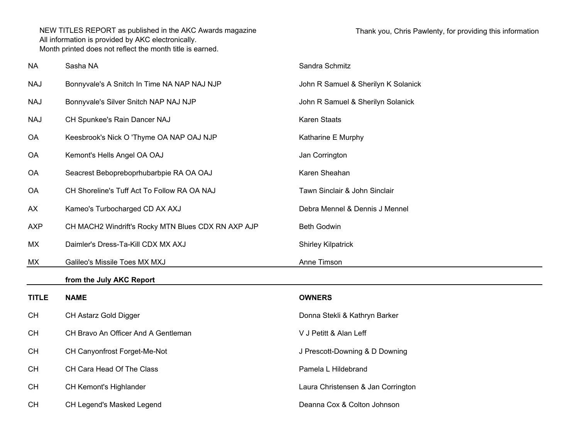| <b>NA</b>    | Sasha NA                                           | Sandra Schmitz                      |
|--------------|----------------------------------------------------|-------------------------------------|
| <b>NAJ</b>   | Bonnyvale's A Snitch In Time NA NAP NAJ NJP        | John R Samuel & Sherilyn K Solanick |
| <b>NAJ</b>   | Bonnyvale's Silver Snitch NAP NAJ NJP              | John R Samuel & Sherilyn Solanick   |
| <b>NAJ</b>   | CH Spunkee's Rain Dancer NAJ                       | Karen Staats                        |
| OA           | Keesbrook's Nick O 'Thyme OA NAP OAJ NJP           | Katharine E Murphy                  |
| <b>OA</b>    | Kemont's Hells Angel OA OAJ                        | Jan Corrington                      |
| OA           | Seacrest Bebopreboprhubarbpie RA OA OAJ            | Karen Sheahan                       |
| OA           | CH Shoreline's Tuff Act To Follow RA OA NAJ        | Tawn Sinclair & John Sinclair       |
| AX           | Kameo's Turbocharged CD AX AXJ                     | Debra Mennel & Dennis J Mennel      |
| <b>AXP</b>   | CH MACH2 Windrift's Rocky MTN Blues CDX RN AXP AJP | <b>Beth Godwin</b>                  |
| MX           | Daimler's Dress-Ta-Kill CDX MX AXJ                 | <b>Shirley Kilpatrick</b>           |
| MX           | Galileo's Missile Toes MX MXJ                      | Anne Timson                         |
|              | from the July AKC Report                           |                                     |
| <b>TITLE</b> | <b>NAME</b>                                        | <b>OWNERS</b>                       |
| <b>CH</b>    | CH Astarz Gold Digger                              | Donna Stekli & Kathryn Barker       |
| <b>CH</b>    | CH Bravo An Officer And A Gentleman                | V J Petitt & Alan Leff              |
| <b>CH</b>    | CH Canyonfrost Forget-Me-Not                       | J Prescott-Downing & D Downing      |
| CH           | CH Cara Head Of The Class                          | Pamela L Hildebrand                 |
| CH           | CH Kemont's Highlander                             | Laura Christensen & Jan Corrington  |
| <b>CH</b>    | CH Legend's Masked Legend                          | Deanna Cox & Colton Johnson         |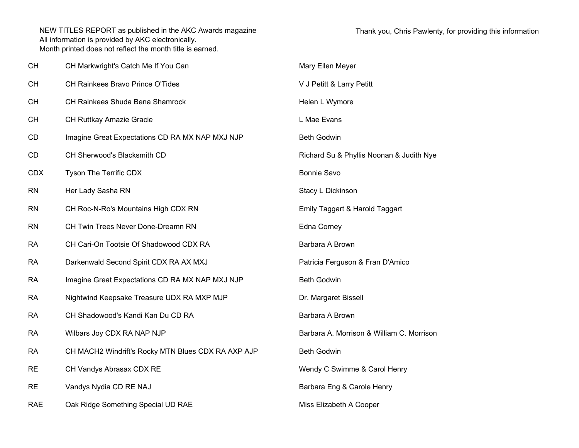| <b>CH</b>  | CH Markwright's Catch Me If You Can                | Mary Ellen Meyer                          |
|------------|----------------------------------------------------|-------------------------------------------|
| <b>CH</b>  | CH Rainkees Bravo Prince O'Tides                   | V J Petitt & Larry Petitt                 |
| <b>CH</b>  | CH Rainkees Shuda Bena Shamrock                    | Helen L Wymore                            |
| <b>CH</b>  | CH Ruttkay Amazie Gracie                           | L Mae Evans                               |
| CD         | Imagine Great Expectations CD RA MX NAP MXJ NJP    | <b>Beth Godwin</b>                        |
| CD         | CH Sherwood's Blacksmith CD                        | Richard Su & Phyllis Noonan & Judith Nye  |
| <b>CDX</b> | Tyson The Terrific CDX                             | <b>Bonnie Savo</b>                        |
| <b>RN</b>  | Her Lady Sasha RN                                  | Stacy L Dickinson                         |
| <b>RN</b>  | CH Roc-N-Ro's Mountains High CDX RN                | Emily Taggart & Harold Taggart            |
| <b>RN</b>  | CH Twin Trees Never Done-Dreamn RN                 | Edna Corney                               |
| <b>RA</b>  | CH Cari-On Tootsie Of Shadowood CDX RA             | Barbara A Brown                           |
| <b>RA</b>  | Darkenwald Second Spirit CDX RA AX MXJ             | Patricia Ferguson & Fran D'Amico          |
| <b>RA</b>  | Imagine Great Expectations CD RA MX NAP MXJ NJP    | <b>Beth Godwin</b>                        |
| <b>RA</b>  | Nightwind Keepsake Treasure UDX RA MXP MJP         | Dr. Margaret Bissell                      |
| <b>RA</b>  | CH Shadowood's Kandi Kan Du CD RA                  | Barbara A Brown                           |
| <b>RA</b>  | Wilbars Joy CDX RA NAP NJP                         | Barbara A. Morrison & William C. Morrison |
| <b>RA</b>  | CH MACH2 Windrift's Rocky MTN Blues CDX RA AXP AJP | <b>Beth Godwin</b>                        |
| <b>RE</b>  | CH Vandys Abrasax CDX RE                           | Wendy C Swimme & Carol Henry              |
| <b>RE</b>  | Vandys Nydia CD RE NAJ                             | Barbara Eng & Carole Henry                |
| <b>RAE</b> | Oak Ridge Something Special UD RAE                 | Miss Elizabeth A Cooper                   |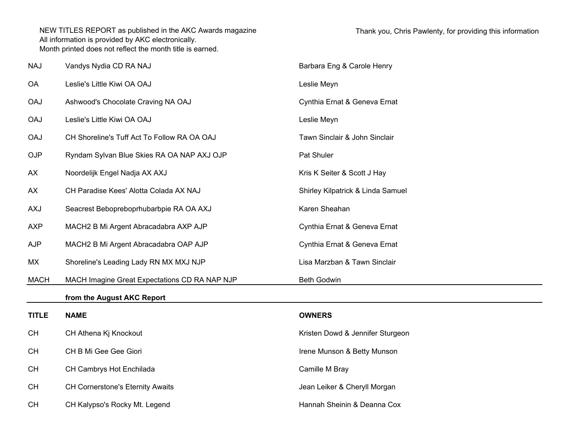| <b>NAJ</b>   | Vandys Nydia CD RA NAJ                        | Barbara Eng & Carole Henry        |
|--------------|-----------------------------------------------|-----------------------------------|
| OA           | Leslie's Little Kiwi OA OAJ                   | Leslie Meyn                       |
| <b>OAJ</b>   | Ashwood's Chocolate Craving NA OAJ            | Cynthia Ernat & Geneva Ernat      |
| <b>OAJ</b>   | Leslie's Little Kiwi OA OAJ                   | Leslie Meyn                       |
| <b>OAJ</b>   | CH Shoreline's Tuff Act To Follow RA OA OAJ   | Tawn Sinclair & John Sinclair     |
| <b>OJP</b>   | Ryndam Sylvan Blue Skies RA OA NAP AXJ OJP    | Pat Shuler                        |
| AX           | Noordelijk Engel Nadja AX AXJ                 | Kris K Seiter & Scott J Hay       |
| AX           | CH Paradise Kees' Alotta Colada AX NAJ        | Shirley Kilpatrick & Linda Samuel |
| <b>AXJ</b>   | Seacrest Bebopreboprhubarbpie RA OA AXJ       | Karen Sheahan                     |
| <b>AXP</b>   | MACH2 B Mi Argent Abracadabra AXP AJP         | Cynthia Ernat & Geneva Ernat      |
| <b>AJP</b>   | MACH2 B Mi Argent Abracadabra OAP AJP         | Cynthia Ernat & Geneva Ernat      |
| MX           | Shoreline's Leading Lady RN MX MXJ NJP        | Lisa Marzban & Tawn Sinclair      |
| <b>MACH</b>  | MACH Imagine Great Expectations CD RA NAP NJP | Beth Godwin                       |
|              | from the August AKC Report                    |                                   |
| <b>TITLE</b> | <b>NAME</b>                                   | <b>OWNERS</b>                     |
| <b>CH</b>    | CH Athena Kj Knockout                         | Kristen Dowd & Jennifer Sturgeon  |
| <b>CH</b>    | CH B Mi Gee Gee Giori                         | Irene Munson & Betty Munson       |
| <b>CH</b>    | CH Cambrys Hot Enchilada                      | Camille M Bray                    |
| <b>CH</b>    | CH Cornerstone's Eternity Awaits              | Jean Leiker & Cheryll Morgan      |
| <b>CH</b>    | CH Kalypso's Rocky Mt. Legend                 | Hannah Sheinin & Deanna Cox       |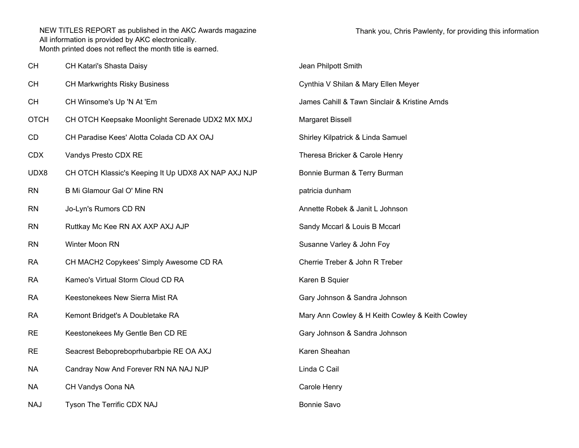| <b>CH</b>   | CH Katari's Shasta Daisy                            | Jean Philpott Smith                             |
|-------------|-----------------------------------------------------|-------------------------------------------------|
| <b>CH</b>   | <b>CH Markwrights Risky Business</b>                | Cynthia V Shilan & Mary Ellen Meyer             |
| <b>CH</b>   | CH Winsome's Up 'N At 'Em                           | James Cahill & Tawn Sinclair & Kristine Arnds   |
| <b>OTCH</b> | CH OTCH Keepsake Moonlight Serenade UDX2 MX MXJ     | Margaret Bissell                                |
| CD          | CH Paradise Kees' Alotta Colada CD AX OAJ           | Shirley Kilpatrick & Linda Samuel               |
| <b>CDX</b>  | Vandys Presto CDX RE                                | Theresa Bricker & Carole Henry                  |
| UDX8        | CH OTCH Klassic's Keeping It Up UDX8 AX NAP AXJ NJP | Bonnie Burman & Terry Burman                    |
| <b>RN</b>   | B Mi Glamour Gal O' Mine RN                         | patricia dunham                                 |
| <b>RN</b>   | Jo-Lyn's Rumors CD RN                               | Annette Robek & Janit L Johnson                 |
| <b>RN</b>   | Ruttkay Mc Kee RN AX AXP AXJ AJP                    | Sandy Mccarl & Louis B Mccarl                   |
| <b>RN</b>   | Winter Moon RN                                      | Susanne Varley & John Foy                       |
| <b>RA</b>   | CH MACH2 Copykees' Simply Awesome CD RA             | Cherrie Treber & John R Treber                  |
| <b>RA</b>   | Kameo's Virtual Storm Cloud CD RA                   | Karen B Squier                                  |
| <b>RA</b>   | Keestonekees New Sierra Mist RA                     | Gary Johnson & Sandra Johnson                   |
| <b>RA</b>   | Kemont Bridget's A Doubletake RA                    | Mary Ann Cowley & H Keith Cowley & Keith Cowley |
| <b>RE</b>   | Keestonekees My Gentle Ben CD RE                    | Gary Johnson & Sandra Johnson                   |
| <b>RE</b>   | Seacrest Bebopreboprhubarbpie RE OA AXJ             | Karen Sheahan                                   |
| <b>NA</b>   | Candray Now And Forever RN NA NAJ NJP               | Linda C Cail                                    |
| <b>NA</b>   | CH Vandys Oona NA                                   | Carole Henry                                    |
| <b>NAJ</b>  | Tyson The Terrific CDX NAJ                          | <b>Bonnie Savo</b>                              |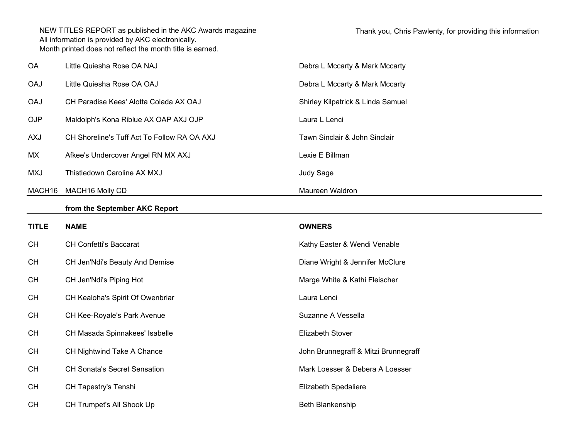| OA           | Little Quiesha Rose OA NAJ                  | Debra L Mccarty & Mark Mccarty       |
|--------------|---------------------------------------------|--------------------------------------|
| <b>OAJ</b>   | Little Quiesha Rose OA OAJ                  | Debra L Mccarty & Mark Mccarty       |
| <b>OAJ</b>   | CH Paradise Kees' Alotta Colada AX OAJ      | Shirley Kilpatrick & Linda Samuel    |
| OJP          | Maldolph's Kona Riblue AX OAP AXJ OJP       | Laura L Lenci                        |
| <b>AXJ</b>   | CH Shoreline's Tuff Act To Follow RA OA AXJ | Tawn Sinclair & John Sinclair        |
| МX           | Afkee's Undercover Angel RN MX AXJ          | Lexie E Billman                      |
| <b>MXJ</b>   | Thistledown Caroline AX MXJ                 | Judy Sage                            |
| MACH16       | MACH16 Molly CD                             | Maureen Waldron                      |
|              | from the September AKC Report               |                                      |
| <b>TITLE</b> | <b>NAME</b>                                 | <b>OWNERS</b>                        |
| <b>CH</b>    | <b>CH Confetti's Baccarat</b>               | Kathy Easter & Wendi Venable         |
| <b>CH</b>    | CH Jen'Ndi's Beauty And Demise              | Diane Wright & Jennifer McClure      |
| <b>CH</b>    | CH Jen'Ndi's Piping Hot                     | Marge White & Kathi Fleischer        |
| <b>CH</b>    | CH Kealoha's Spirit Of Owenbriar            | Laura Lenci                          |
| <b>CH</b>    | CH Kee-Royale's Park Avenue                 | Suzanne A Vessella                   |
| <b>CH</b>    | CH Masada Spinnakees' Isabelle              | Elizabeth Stover                     |
| <b>CH</b>    | CH Nightwind Take A Chance                  | John Brunnegraff & Mitzi Brunnegraff |
| <b>CH</b>    | <b>CH Sonata's Secret Sensation</b>         | Mark Loesser & Debera A Loesser      |
| <b>CH</b>    | CH Tapestry's Tenshi                        | Elizabeth Spedaliere                 |
| <b>CH</b>    | CH Trumpet's All Shook Up                   | Beth Blankenship                     |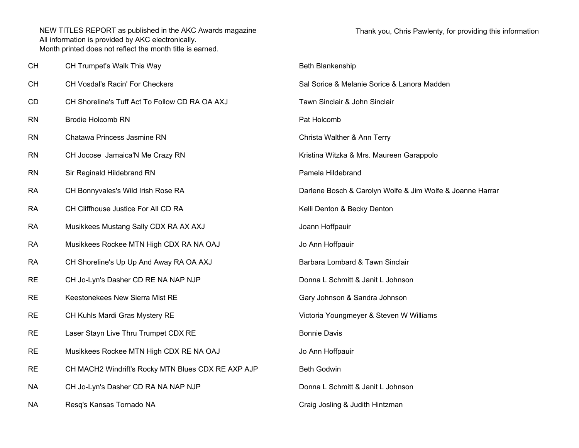| CН        | CH Trumpet's Walk This Way                         | Beth Blankenship                                          |
|-----------|----------------------------------------------------|-----------------------------------------------------------|
| CН        | CH Vosdal's Racin' For Checkers                    | Sal Sorice & Melanie Sorice & Lanora Madden               |
| CD        | CH Shoreline's Tuff Act To Follow CD RA OA AXJ     | Tawn Sinclair & John Sinclair                             |
| RN        | <b>Brodie Holcomb RN</b>                           | Pat Holcomb                                               |
| RN        | Chatawa Princess Jasmine RN                        | Christa Walther & Ann Terry                               |
| RN        | CH Jocose Jamaica'N Me Crazy RN                    | Kristina Witzka & Mrs. Maureen Garappolo                  |
| RN        | Sir Reginald Hildebrand RN                         | Pamela Hildebrand                                         |
| RA        | CH Bonnyvales's Wild Irish Rose RA                 | Darlene Bosch & Carolyn Wolfe & Jim Wolfe & Joanne Harrar |
| RA        | CH Cliffhouse Justice For All CD RA                | Kelli Denton & Becky Denton                               |
| RA        | Musikkees Mustang Sally CDX RA AX AXJ              | Joann Hoffpauir                                           |
| RA        | Musikkees Rockee MTN High CDX RA NA OAJ            | Jo Ann Hoffpauir                                          |
| RA        | CH Shoreline's Up Up And Away RA OA AXJ            | Barbara Lombard & Tawn Sinclair                           |
| <b>RE</b> | CH Jo-Lyn's Dasher CD RE NA NAP NJP                | Donna L Schmitt & Janit L Johnson                         |
| <b>RE</b> | Keestonekees New Sierra Mist RE                    | Gary Johnson & Sandra Johnson                             |
| <b>RE</b> | CH Kuhls Mardi Gras Mystery RE                     | Victoria Youngmeyer & Steven W Williams                   |
| <b>RE</b> | Laser Stayn Live Thru Trumpet CDX RE               | <b>Bonnie Davis</b>                                       |
| <b>RE</b> | Musikkees Rockee MTN High CDX RE NA OAJ            | Jo Ann Hoffpauir                                          |
| RE.       | CH MACH2 Windrift's Rocky MTN Blues CDX RE AXP AJP | Beth Godwin                                               |
| NА        | CH Jo-Lyn's Dasher CD RA NA NAP NJP                | Donna L Schmitt & Janit L Johnson                         |
| NА        | Resq's Kansas Tornado NA                           | Craig Josling & Judith Hintzman                           |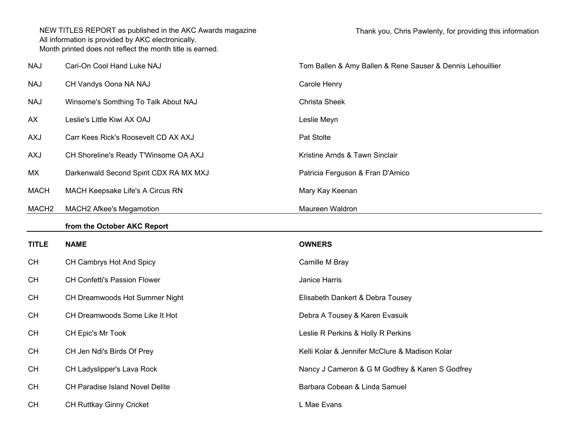| <b>NAJ</b>        | Cari-On Cool Hand Luke NAJ             | Tom Ballen & Amy Ballen & Rene Sauser & Dennis Lehouillier |  |
|-------------------|----------------------------------------|------------------------------------------------------------|--|
| <b>NAJ</b>        | CH Vandys Oona NA NAJ                  | Carole Henry                                               |  |
| <b>NAJ</b>        | Winsome's Somthing To Talk About NAJ   | Christa Sheek                                              |  |
| AX                | Leslie's Little Kiwi AX OAJ            | Leslie Meyn                                                |  |
| <b>AXJ</b>        | Carr Kees Rick's Roosevelt CD AX AXJ   | Pat Stolte                                                 |  |
| AXJ               | CH Shoreline's Ready T'Winsome OA AXJ  | Kristine Arnds & Tawn Sinclair                             |  |
| MX                | Darkenwald Second Spirit CDX RA MX MXJ | Patricia Ferguson & Fran D'Amico                           |  |
| <b>MACH</b>       | MACH Keepsake Life's A Circus RN       | Mary Kay Keenan                                            |  |
| MACH <sub>2</sub> | MACH2 Afkee's Megamotion               | Maureen Waldron                                            |  |
|                   | from the October AKC Report            |                                                            |  |
|                   |                                        |                                                            |  |
| <b>TITLE</b>      | <b>NAME</b>                            | <b>OWNERS</b>                                              |  |
| <b>CH</b>         | CH Cambrys Hot And Spicy               | Camille M Bray                                             |  |
| <b>CH</b>         | CH Confetti's Passion Flower           | Janice Harris                                              |  |
| <b>CH</b>         | CH Dreamwoods Hot Summer Night         | Elisabeth Dankert & Debra Tousey                           |  |
| <b>CH</b>         | CH Dreamwoods Some Like It Hot         | Debra A Tousey & Karen Evasuik                             |  |
| <b>CH</b>         | CH Epic's Mr Took                      | Leslie R Perkins & Holly R Perkins                         |  |
| <b>CH</b>         | CH Jen Ndi's Birds Of Prey             | Kelli Kolar & Jennifer McClure & Madison Kolar             |  |
| <b>CH</b>         | CH Ladyslipper's Lava Rock             | Nancy J Cameron & G M Godfrey & Karen S Godfrey            |  |
| <b>CH</b>         | CH Paradise Island Novel Delite        | Barbara Cobean & Linda Samuel                              |  |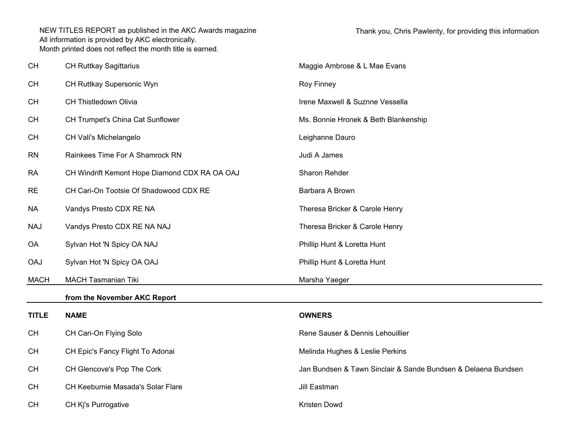| <b>CH</b>    | <b>CH Ruttkay Sagittarius</b>                 | Maggie Ambrose & L Mae Evans                                  |
|--------------|-----------------------------------------------|---------------------------------------------------------------|
| <b>CH</b>    | CH Ruttkay Supersonic Wyn                     | Roy Finney                                                    |
| <b>CH</b>    | CH Thistledown Olivia                         | Irene Maxwell & Suznne Vessella                               |
| <b>CH</b>    | CH Trumpet's China Cat Sunflower              | Ms. Bonnie Hronek & Beth Blankenship                          |
| <b>CH</b>    | CH Vali's Michelangelo                        | Leighanne Dauro                                               |
| <b>RN</b>    | Rainkees Time For A Shamrock RN               | Judi A James                                                  |
| <b>RA</b>    | CH Windrift Kemont Hope Diamond CDX RA OA OAJ | Sharon Rehder                                                 |
| <b>RE</b>    | CH Cari-On Tootsie Of Shadowood CDX RE        | Barbara A Brown                                               |
| <b>NA</b>    | Vandys Presto CDX RE NA                       | Theresa Bricker & Carole Henry                                |
| <b>NAJ</b>   | Vandys Presto CDX RE NA NAJ                   | Theresa Bricker & Carole Henry                                |
| <b>OA</b>    | Sylvan Hot 'N Spicy OA NAJ                    | Phillip Hunt & Loretta Hunt                                   |
| <b>OAJ</b>   | Sylvan Hot 'N Spicy OA OAJ                    | Phillip Hunt & Loretta Hunt                                   |
| <b>MACH</b>  | <b>MACH Tasmanian Tiki</b>                    | Marsha Yaeger                                                 |
|              | from the November AKC Report                  |                                                               |
| <b>TITLE</b> | <b>NAME</b>                                   | <b>OWNERS</b>                                                 |
| <b>CH</b>    | CH Cari-On Flying Solo                        | Rene Sauser & Dennis Lehouillier                              |
| <b>CH</b>    | CH Epic's Fancy Flight To Adonai              | Melinda Hughes & Leslie Perkins                               |
| <b>CH</b>    | CH Glencove's Pop The Cork                    | Jan Bundsen & Tawn Sinclair & Sande Bundsen & Delaena Bundsen |
| <b>CH</b>    | CH Keeburnie Masada's Solar Flare             | Jill Eastman                                                  |
| <b>CH</b>    | CH Kj's Purrogative                           | Kristen Dowd                                                  |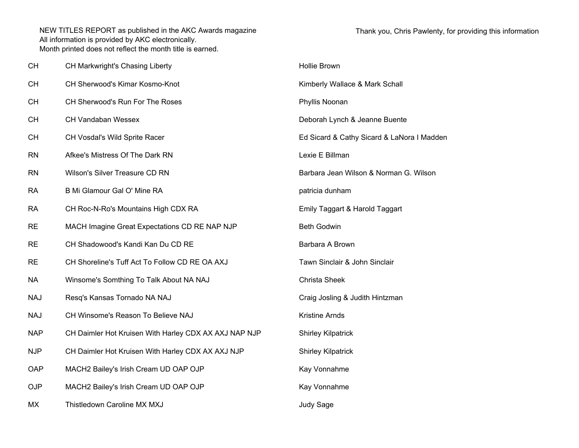| <b>CH</b>  | CH Markwright's Chasing Liberty                       | Hollie Brown                               |
|------------|-------------------------------------------------------|--------------------------------------------|
| <b>CH</b>  | CH Sherwood's Kimar Kosmo-Knot                        | Kimberly Wallace & Mark Schall             |
| <b>CH</b>  | CH Sherwood's Run For The Roses                       | Phyllis Noonan                             |
| <b>CH</b>  | <b>CH Vandaban Wessex</b>                             | Deborah Lynch & Jeanne Buente              |
| <b>CH</b>  | CH Vosdal's Wild Sprite Racer                         | Ed Sicard & Cathy Sicard & LaNora I Madden |
| <b>RN</b>  | Afkee's Mistress Of The Dark RN                       | Lexie E Billman                            |
| <b>RN</b>  | Wilson's Silver Treasure CD RN                        | Barbara Jean Wilson & Norman G. Wilson     |
| <b>RA</b>  | B Mi Glamour Gal O' Mine RA                           | patricia dunham                            |
| <b>RA</b>  | CH Roc-N-Ro's Mountains High CDX RA                   | Emily Taggart & Harold Taggart             |
| <b>RE</b>  | MACH Imagine Great Expectations CD RE NAP NJP         | <b>Beth Godwin</b>                         |
| <b>RE</b>  | CH Shadowood's Kandi Kan Du CD RE                     | Barbara A Brown                            |
| <b>RE</b>  | CH Shoreline's Tuff Act To Follow CD RE OA AXJ        | Tawn Sinclair & John Sinclair              |
| <b>NA</b>  | Winsome's Somthing To Talk About NA NAJ               | <b>Christa Sheek</b>                       |
| <b>NAJ</b> | Resq's Kansas Tornado NA NAJ                          | Craig Josling & Judith Hintzman            |
| <b>NAJ</b> | CH Winsome's Reason To Believe NAJ                    | Kristine Arnds                             |
| <b>NAP</b> | CH Daimler Hot Kruisen With Harley CDX AX AXJ NAP NJP | <b>Shirley Kilpatrick</b>                  |
| <b>NJP</b> | CH Daimler Hot Kruisen With Harley CDX AX AXJ NJP     | <b>Shirley Kilpatrick</b>                  |
| OAP        | MACH2 Bailey's Irish Cream UD OAP OJP                 | Kay Vonnahme                               |
| <b>OJP</b> | MACH2 Bailey's Irish Cream UD OAP OJP                 | Kay Vonnahme                               |
| MX         | Thistledown Caroline MX MXJ                           | Judy Sage                                  |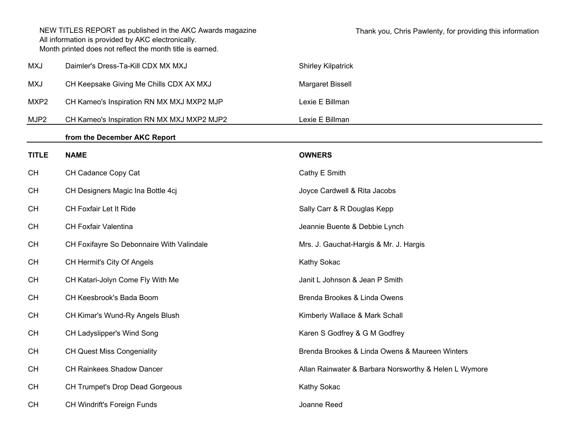|                  | NEW TITLES REPORT as published in the AKC Awards magazine<br>All information is provided by AKC electronically.<br>Month printed does not reflect the month title is earned. | Thank you, Chris Pawlenty, for providing this information |
|------------------|------------------------------------------------------------------------------------------------------------------------------------------------------------------------------|-----------------------------------------------------------|
| <b>MXJ</b>       | Daimler's Dress-Ta-Kill CDX MX MXJ                                                                                                                                           | <b>Shirley Kilpatrick</b>                                 |
| <b>MXJ</b>       | CH Keepsake Giving Me Chills CDX AX MXJ                                                                                                                                      | Margaret Bissell                                          |
| MXP <sub>2</sub> | CH Kameo's Inspiration RN MX MXJ MXP2 MJP                                                                                                                                    | Lexie E Billman                                           |
| MJP2             | CH Kameo's Inspiration RN MX MXJ MXP2 MJP2                                                                                                                                   | Lexie E Billman                                           |
|                  | from the December AKC Report                                                                                                                                                 |                                                           |
| <b>TITLE</b>     | <b>NAME</b>                                                                                                                                                                  | <b>OWNERS</b>                                             |
| CH               | CH Cadance Copy Cat                                                                                                                                                          | Cathy E Smith                                             |
| <b>CH</b>        | CH Designers Magic Ina Bottle 4cj                                                                                                                                            | Joyce Cardwell & Rita Jacobs                              |
| CH               | CH Foxfair Let It Ride                                                                                                                                                       | Sally Carr & R Douglas Kepp                               |
| <b>CH</b>        | CH Foxfair Valentina                                                                                                                                                         | Jeannie Buente & Debbie Lynch                             |
| <b>CH</b>        | CH Foxifayre So Debonnaire With Valindale                                                                                                                                    | Mrs. J. Gauchat-Hargis & Mr. J. Hargis                    |
| <b>CH</b>        | CH Hermit's City Of Angels                                                                                                                                                   | Kathy Sokac                                               |
| <b>CH</b>        | CH Katari-Jolyn Come Fly With Me                                                                                                                                             | Janit L Johnson & Jean P Smith                            |
| <b>CH</b>        | CH Keesbrook's Bada Boom                                                                                                                                                     | Brenda Brookes & Linda Owens                              |
| <b>CH</b>        | CH Kimar's Wund-Ry Angels Blush                                                                                                                                              | Kimberly Wallace & Mark Schall                            |
| <b>CH</b>        | CH Ladyslipper's Wind Song                                                                                                                                                   | Karen S Godfrey & G M Godfrey                             |
| <b>CH</b>        | <b>CH Quest Miss Congeniality</b>                                                                                                                                            | Brenda Brookes & Linda Owens & Maureen Winters            |
| <b>CH</b>        | CH Rainkees Shadow Dancer                                                                                                                                                    | Allan Rainwater & Barbara Norsworthy & Helen L Wymore     |
| <b>CH</b>        | CH Trumpet's Drop Dead Gorgeous                                                                                                                                              | Kathy Sokac                                               |
| <b>CH</b>        | CH Windrift's Foreign Funds                                                                                                                                                  | Joanne Reed                                               |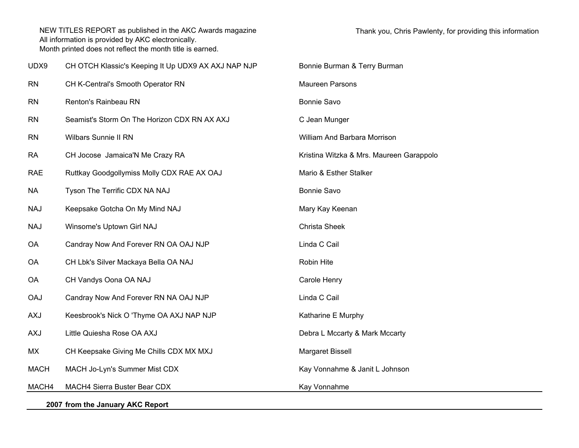| UDX9                             | CH OTCH Klassic's Keeping It Up UDX9 AX AXJ NAP NJP | Bonnie Burman & Terry Burman             |
|----------------------------------|-----------------------------------------------------|------------------------------------------|
| <b>RN</b>                        | CH K-Central's Smooth Operator RN                   | Maureen Parsons                          |
| <b>RN</b>                        | Renton's Rainbeau RN                                | Bonnie Savo                              |
| <b>RN</b>                        | Seamist's Storm On The Horizon CDX RN AX AXJ        | C Jean Munger                            |
| <b>RN</b>                        | <b>Wilbars Sunnie II RN</b>                         | William And Barbara Morrison             |
| <b>RA</b>                        | CH Jocose Jamaica'N Me Crazy RA                     | Kristina Witzka & Mrs. Maureen Garappolo |
| <b>RAE</b>                       | Ruttkay Goodgollymiss Molly CDX RAE AX OAJ          | Mario & Esther Stalker                   |
| <b>NA</b>                        | Tyson The Terrific CDX NA NAJ                       | Bonnie Savo                              |
| <b>NAJ</b>                       | Keepsake Gotcha On My Mind NAJ                      | Mary Kay Keenan                          |
| <b>NAJ</b>                       | Winsome's Uptown Girl NAJ                           | Christa Sheek                            |
| OA                               | Candray Now And Forever RN OA OAJ NJP               | Linda C Cail                             |
| OA                               | CH Lbk's Silver Mackaya Bella OA NAJ                | Robin Hite                               |
| <b>OA</b>                        | CH Vandys Oona OA NAJ                               | Carole Henry                             |
| <b>OAJ</b>                       | Candray Now And Forever RN NA OAJ NJP               | Linda C Cail                             |
| <b>AXJ</b>                       | Keesbrook's Nick O 'Thyme OA AXJ NAP NJP            | Katharine E Murphy                       |
| <b>AXJ</b>                       | Little Quiesha Rose OA AXJ                          | Debra L Mccarty & Mark Mccarty           |
| МX                               | CH Keepsake Giving Me Chills CDX MX MXJ             | Margaret Bissell                         |
| <b>MACH</b>                      | MACH Jo-Lyn's Summer Mist CDX                       | Kay Vonnahme & Janit L Johnson           |
| MACH4                            | MACH4 Sierra Buster Bear CDX                        | Kay Vonnahme                             |
| 2007 from the January AKC Report |                                                     |                                          |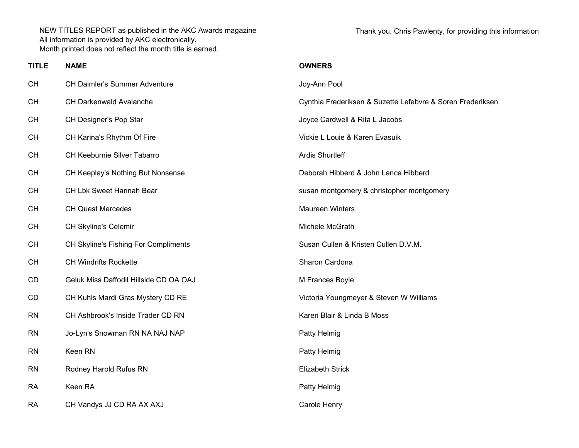Thank you, Chris Pawlenty, for providing this information

| <b>TITLE</b> | <b>NAME</b>                            | <b>OWNERS</b>                                              |
|--------------|----------------------------------------|------------------------------------------------------------|
| <b>CH</b>    | <b>CH Daimler's Summer Adventure</b>   | Joy-Ann Pool                                               |
| <b>CH</b>    | <b>CH Darkenwald Avalanche</b>         | Cynthia Frederiksen & Suzette Lefebvre & Soren Frederiksen |
| <b>CH</b>    | CH Designer's Pop Star                 | Joyce Cardwell & Rita L Jacobs                             |
| <b>CH</b>    | CH Karina's Rhythm Of Fire             | Vickie L Louie & Karen Evasuik                             |
| <b>CH</b>    | CH Keeburnie Silver Tabarro            | <b>Ardis Shurtleff</b>                                     |
| <b>CH</b>    | CH Keeplay's Nothing But Nonsense      | Deborah Hibberd & John Lance Hibberd                       |
| <b>CH</b>    | CH Lbk Sweet Hannah Bear               | susan montgomery & christopher montgomery                  |
| <b>CH</b>    | <b>CH Quest Mercedes</b>               | <b>Maureen Winters</b>                                     |
| <b>CH</b>    | <b>CH Skyline's Celemir</b>            | Michele McGrath                                            |
| <b>CH</b>    | CH Skyline's Fishing For Compliments   | Susan Cullen & Kristen Cullen D.V.M.                       |
| <b>CH</b>    | <b>CH Windrifts Rockette</b>           | Sharon Cardona                                             |
| CD           | Geluk Miss Daffodil Hillside CD OA OAJ | M Frances Boyle                                            |
| CD           | CH Kuhls Mardi Gras Mystery CD RE      | Victoria Youngmeyer & Steven W Williams                    |
| <b>RN</b>    | CH Ashbrook's Inside Trader CD RN      | Karen Blair & Linda B Moss                                 |
| <b>RN</b>    | Jo-Lyn's Snowman RN NA NAJ NAP         | Patty Helmig                                               |
| <b>RN</b>    | Keen RN                                | Patty Helmig                                               |
| <b>RN</b>    | Rodney Harold Rufus RN                 | <b>Elizabeth Strick</b>                                    |
| <b>RA</b>    | Keen RA                                | Patty Helmig                                               |
| <b>RA</b>    | CH Vandys JJ CD RA AX AXJ              | Carole Henry                                               |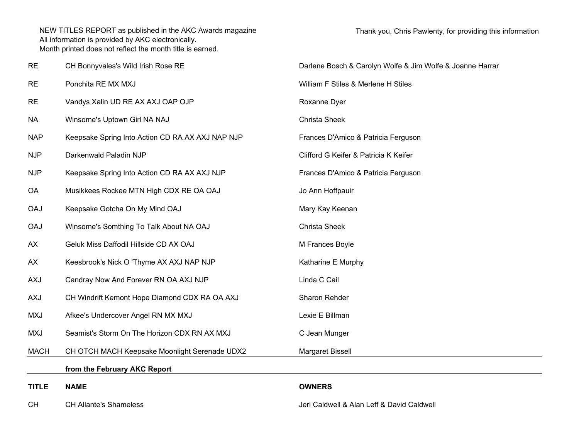| <b>RE</b>    | CH Bonnyvales's Wild Irish Rose RE               | Darlene Bosch & Carolyn Wolfe & Jim Wolfe & Joanne Harrar |  |
|--------------|--------------------------------------------------|-----------------------------------------------------------|--|
| <b>RE</b>    | Ponchita RE MX MXJ                               | William F Stiles & Merlene H Stiles                       |  |
| <b>RE</b>    | Vandys Xalin UD RE AX AXJ OAP OJP                | Roxanne Dyer                                              |  |
| <b>NA</b>    | Winsome's Uptown Girl NA NAJ                     | Christa Sheek                                             |  |
| <b>NAP</b>   | Keepsake Spring Into Action CD RA AX AXJ NAP NJP | Frances D'Amico & Patricia Ferguson                       |  |
| <b>NJP</b>   | Darkenwald Paladin NJP                           | Clifford G Keifer & Patricia K Keifer                     |  |
| <b>NJP</b>   | Keepsake Spring Into Action CD RA AX AXJ NJP     | Frances D'Amico & Patricia Ferguson                       |  |
| <b>OA</b>    | Musikkees Rockee MTN High CDX RE OA OAJ          | Jo Ann Hoffpauir                                          |  |
| <b>OAJ</b>   | Keepsake Gotcha On My Mind OAJ                   | Mary Kay Keenan                                           |  |
| <b>OAJ</b>   | Winsome's Somthing To Talk About NA OAJ          | Christa Sheek                                             |  |
| AX           | Geluk Miss Daffodil Hillside CD AX OAJ           | M Frances Boyle                                           |  |
| AX           | Keesbrook's Nick O 'Thyme AX AXJ NAP NJP         | Katharine E Murphy                                        |  |
| <b>AXJ</b>   | Candray Now And Forever RN OA AXJ NJP            | Linda C Cail                                              |  |
| <b>AXJ</b>   | CH Windrift Kemont Hope Diamond CDX RA OA AXJ    | Sharon Rehder                                             |  |
| <b>MXJ</b>   | Afkee's Undercover Angel RN MX MXJ               | Lexie E Billman                                           |  |
| <b>MXJ</b>   | Seamist's Storm On The Horizon CDX RN AX MXJ     | C Jean Munger                                             |  |
| <b>MACH</b>  | CH OTCH MACH Keepsake Moonlight Serenade UDX2    | Margaret Bissell                                          |  |
|              | from the February AKC Report                     |                                                           |  |
| <b>TITLE</b> | <b>NAME</b>                                      | <b>OWNERS</b>                                             |  |
| <b>CH</b>    | <b>CH Allante's Shameless</b>                    | Jeri Caldwell & Alan Leff & David Caldwell                |  |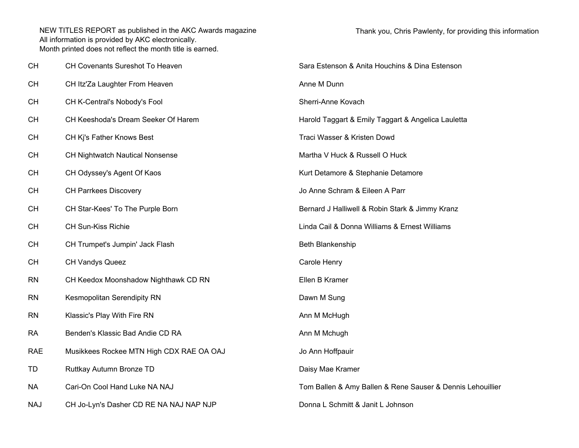| CН  | CH Covenants Sureshot To Heaven          | Sara Estenson & Anita Houchins & Dina Estenson             |
|-----|------------------------------------------|------------------------------------------------------------|
| CН  | CH Itz'Za Laughter From Heaven           | Anne M Dunn                                                |
| CН  | CH K-Central's Nobody's Fool             | Sherri-Anne Kovach                                         |
| CН  | CH Keeshoda's Dream Seeker Of Harem      | Harold Taggart & Emily Taggart & Angelica Lauletta         |
| CН  | CH Ki's Father Knows Best                | Traci Wasser & Kristen Dowd                                |
| CН  | <b>CH Nightwatch Nautical Nonsense</b>   | Martha V Huck & Russell O Huck                             |
| CН  | CH Odyssey's Agent Of Kaos               | Kurt Detamore & Stephanie Detamore                         |
| CН  | <b>CH Parrkees Discovery</b>             | Jo Anne Schram & Eileen A Parr                             |
| CН  | CH Star-Kees' To The Purple Born         | Bernard J Halliwell & Robin Stark & Jimmy Kranz            |
| CН  | <b>CH Sun-Kiss Richie</b>                | Linda Cail & Donna Williams & Ernest Williams              |
| CН  | CH Trumpet's Jumpin' Jack Flash          | Beth Blankenship                                           |
| CН  | <b>CH Vandys Queez</b>                   | Carole Henry                                               |
| RN  | CH Keedox Moonshadow Nighthawk CD RN     | Ellen B Kramer                                             |
| RN  | Kesmopolitan Serendipity RN              | Dawn M Sung                                                |
| RN  | Klassic's Play With Fire RN              | Ann M McHugh                                               |
| RA  | Benden's Klassic Bad Andie CD RA         | Ann M Mchugh                                               |
| RAE | Musikkees Rockee MTN High CDX RAE OA OAJ | Jo Ann Hoffpauir                                           |
| TD  | Ruttkay Autumn Bronze TD                 | Daisy Mae Kramer                                           |
| NА  | Cari-On Cool Hand Luke NA NAJ            | Tom Ballen & Amy Ballen & Rene Sauser & Dennis Lehouillier |
| NAJ | CH Jo-Lyn's Dasher CD RE NA NAJ NAP NJP  | Donna L Schmitt & Janit L Johnson                          |